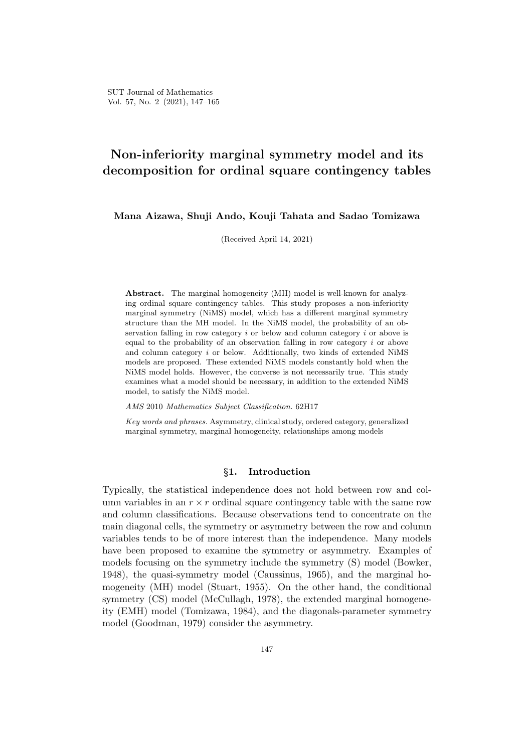# **Non-inferiority marginal symmetry model and its decomposition for ordinal square contingency tables**

**Mana Aizawa, Shuji Ando, Kouji Tahata and Sadao Tomizawa**

(Received April 14, 2021)

**Abstract.** The marginal homogeneity (MH) model is well-known for analyzing ordinal square contingency tables. This study proposes a non-inferiority marginal symmetry (NiMS) model, which has a different marginal symmetry structure than the MH model. In the NiMS model, the probability of an observation falling in row category *i* or below and column category *i* or above is equal to the probability of an observation falling in row category *i* or above and column category *i* or below. Additionally, two kinds of extended NiMS models are proposed. These extended NiMS models constantly hold when the NiMS model holds. However, the converse is not necessarily true. This study examines what a model should be necessary, in addition to the extended NiMS model, to satisfy the NiMS model.

*AMS* 2010 *Mathematics Subject Classification.* 62H17

*Key words and phrases.* Asymmetry, clinical study, ordered category, generalized marginal symmetry, marginal homogeneity, relationships among models

# *§***1. Introduction**

Typically, the statistical independence does not hold between row and column variables in an  $r \times r$  ordinal square contingency table with the same row and column classifications. Because observations tend to concentrate on the main diagonal cells, the symmetry or asymmetry between the row and column variables tends to be of more interest than the independence. Many models have been proposed to examine the symmetry or asymmetry. Examples of models focusing on the symmetry include the symmetry (S) model (Bowker, 1948), the quasi-symmetry model (Caussinus, 1965), and the marginal homogeneity (MH) model (Stuart, 1955). On the other hand, the conditional symmetry (CS) model (McCullagh, 1978), the extended marginal homogeneity (EMH) model (Tomizawa, 1984), and the diagonals-parameter symmetry model (Goodman, 1979) consider the asymmetry.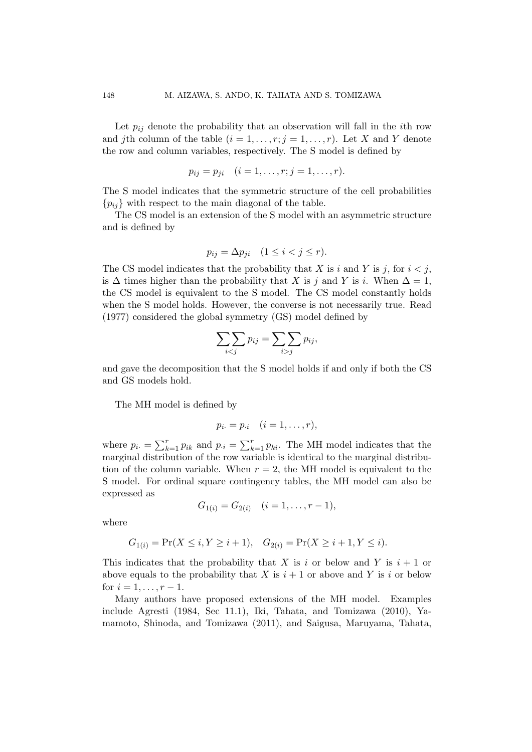Let  $p_{ij}$  denote the probability that an observation will fall in the *i*th row and *j*th column of the table  $(i = 1, \ldots, r; j = 1, \ldots, r)$ . Let *X* and *Y* denote the row and column variables, respectively. The S model is defined by

$$
p_{ij} = p_{ji}
$$
  $(i = 1, ..., r; j = 1, ..., r).$ 

The S model indicates that the symmetric structure of the cell probabilities  ${p_{ij}}$  with respect to the main diagonal of the table.

The CS model is an extension of the S model with an asymmetric structure and is defined by

$$
p_{ij} = \Delta p_{ji} \quad (1 \le i < j \le r).
$$

The CS model indicates that the probability that *X* is *i* and *Y* is *j*, for  $i < j$ , is  $\Delta$  times higher than the probability that *X* is *j* and *Y* is *i*. When  $\Delta = 1$ , the CS model is equivalent to the S model. The CS model constantly holds when the S model holds. However, the converse is not necessarily true. Read (1977) considered the global symmetry (GS) model defined by

$$
\sum_{i < j} p_{ij} = \sum_{i > j} p_{ij},
$$

and gave the decomposition that the S model holds if and only if both the CS and GS models hold.

The MH model is defined by

$$
p_{i\cdot}=p_{\cdot i} \quad (i=1,\ldots,r),
$$

where  $p_i = \sum_{k=1}^r p_{ik}$  and  $p_{\cdot i} = \sum_{k=1}^r p_{ki}$ . The MH model indicates that the marginal distribution of the row variable is identical to the marginal distribution of the column variable. When  $r = 2$ , the MH model is equivalent to the S model. For ordinal square contingency tables, the MH model can also be expressed as

$$
G_{1(i)} = G_{2(i)} \quad (i = 1, \dots, r-1),
$$

where

$$
G_{1(i)} = \Pr(X \le i, Y \ge i+1), \quad G_{2(i)} = \Pr(X \ge i+1, Y \le i).
$$

This indicates that the probability that *X* is *i* or below and *Y* is  $i + 1$  or above equals to the probability that *X* is  $i + 1$  or above and *Y* is *i* or below for  $i = 1, \ldots, r - 1$ .

Many authors have proposed extensions of the MH model. Examples include Agresti (1984, Sec 11.1), Iki, Tahata, and Tomizawa (2010), Yamamoto, Shinoda, and Tomizawa (2011), and Saigusa, Maruyama, Tahata,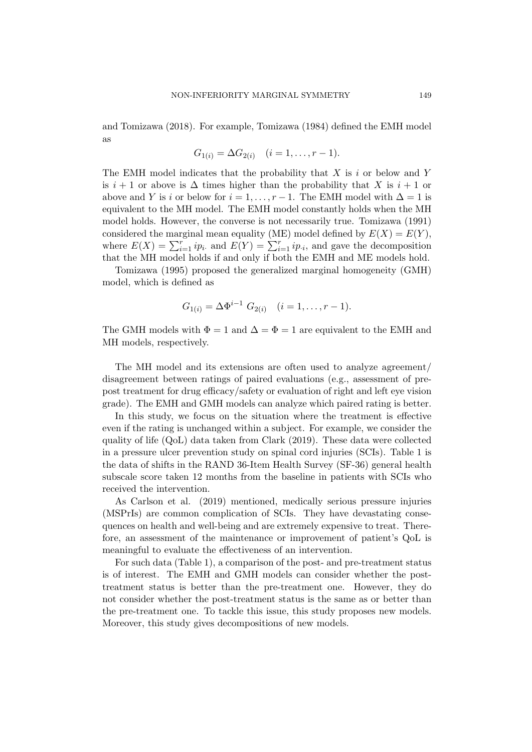and Tomizawa (2018). For example, Tomizawa (1984) defined the EMH model as

$$
G_{1(i)} = \Delta G_{2(i)} \quad (i = 1, \ldots, r-1).
$$

The EMH model indicates that the probability that *X* is *i* or below and *Y* is  $i + 1$  or above is  $\Delta$  times higher than the probability that X is  $i + 1$  or above and *Y* is *i* or below for  $i = 1, \ldots, r - 1$ . The EMH model with  $\Delta = 1$  is equivalent to the MH model. The EMH model constantly holds when the MH model holds. However, the converse is not necessarily true. Tomizawa (1991) considered the marginal mean equality (ME) model defined by  $E(X) = E(Y)$ , where  $E(X) = \sum_{i=1}^{r} ip_i$  and  $E(Y) = \sum_{i=1}^{r} ip_i$ , and gave the decomposition that the MH model holds if and only if both the EMH and ME models hold.

Tomizawa (1995) proposed the generalized marginal homogeneity (GMH) model, which is defined as

$$
G_{1(i)} = \Delta \Phi^{i-1} \ G_{2(i)} \quad (i = 1, \dots, r-1).
$$

The GMH models with  $\Phi = 1$  and  $\Delta = \Phi = 1$  are equivalent to the EMH and MH models, respectively.

The MH model and its extensions are often used to analyze agreement/ disagreement between ratings of paired evaluations (e.g., assessment of prepost treatment for drug efficacy/safety or evaluation of right and left eye vision grade). The EMH and GMH models can analyze which paired rating is better.

In this study, we focus on the situation where the treatment is effective even if the rating is unchanged within a subject. For example, we consider the quality of life (QoL) data taken from Clark (2019). These data were collected in a pressure ulcer prevention study on spinal cord injuries (SCIs). Table 1 is the data of shifts in the RAND 36-Item Health Survey (SF-36) general health subscale score taken 12 months from the baseline in patients with SCIs who received the intervention.

As Carlson et al. (2019) mentioned, medically serious pressure injuries (MSPrIs) are common complication of SCIs. They have devastating consequences on health and well-being and are extremely expensive to treat. Therefore, an assessment of the maintenance or improvement of patient's QoL is meaningful to evaluate the effectiveness of an intervention.

For such data (Table 1), a comparison of the post- and pre-treatment status is of interest. The EMH and GMH models can consider whether the posttreatment status is better than the pre-treatment one. However, they do not consider whether the post-treatment status is the same as or better than the pre-treatment one. To tackle this issue, this study proposes new models. Moreover, this study gives decompositions of new models.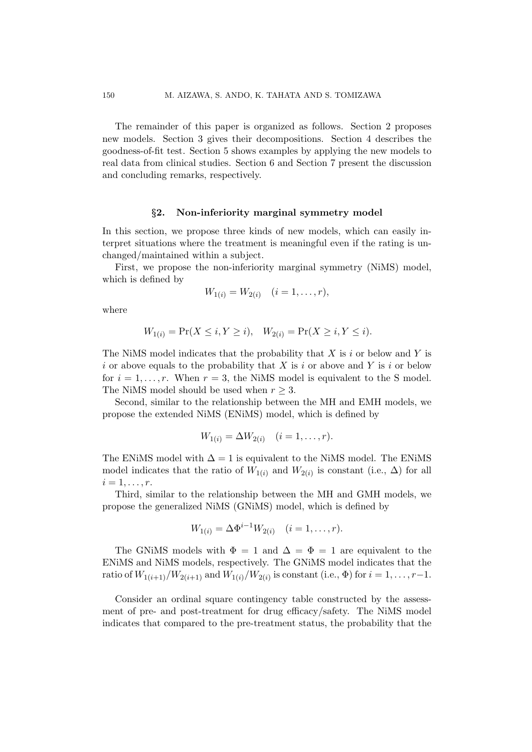The remainder of this paper is organized as follows. Section 2 proposes new models. Section 3 gives their decompositions. Section 4 describes the goodness-of-fit test. Section 5 shows examples by applying the new models to real data from clinical studies. Section 6 and Section 7 present the discussion and concluding remarks, respectively.

#### *§***2. Non-inferiority marginal symmetry model**

In this section, we propose three kinds of new models, which can easily interpret situations where the treatment is meaningful even if the rating is unchanged/maintained within a subject.

First, we propose the non-inferiority marginal symmetry (NiMS) model, which is defined by

$$
W_{1(i)} = W_{2(i)} \quad (i = 1, \dots, r),
$$

where

$$
W_{1(i)} = \Pr(X \le i, Y \ge i), \quad W_{2(i)} = \Pr(X \ge i, Y \le i).
$$

The NiMS model indicates that the probability that *X* is *i* or below and *Y* is *i* or above equals to the probability that *X* is *i* or above and *Y* is *i* or below for  $i = 1, \ldots, r$ . When  $r = 3$ , the NiMS model is equivalent to the S model. The NiMS model should be used when  $r \geq 3$ .

Second, similar to the relationship between the MH and EMH models, we propose the extended NiMS (ENiMS) model, which is defined by

$$
W_{1(i)} = \Delta W_{2(i)} \quad (i = 1, \dots, r).
$$

The ENiMS model with  $\Delta = 1$  is equivalent to the NiMS model. The ENiMS model indicates that the ratio of  $W_{1(i)}$  and  $W_{2(i)}$  is constant (i.e.,  $\Delta$ ) for all  $i = 1, \ldots, r$ .

Third, similar to the relationship between the MH and GMH models, we propose the generalized NiMS (GNiMS) model, which is defined by

$$
W_{1(i)} = \Delta \Phi^{i-1} W_{2(i)} \quad (i = 1, \dots, r).
$$

The GNiMS models with  $\Phi = 1$  and  $\Delta = \Phi = 1$  are equivalent to the ENiMS and NiMS models, respectively. The GNiMS model indicates that the ratio of  $W_{1(i+1)}/W_{2(i+1)}$  and  $W_{1(i)}/W_{2(i)}$  is constant (i.e.,  $\Phi$ ) for  $i = 1, ..., r-1$ .

Consider an ordinal square contingency table constructed by the assessment of pre- and post-treatment for drug efficacy/safety. The NiMS model indicates that compared to the pre-treatment status, the probability that the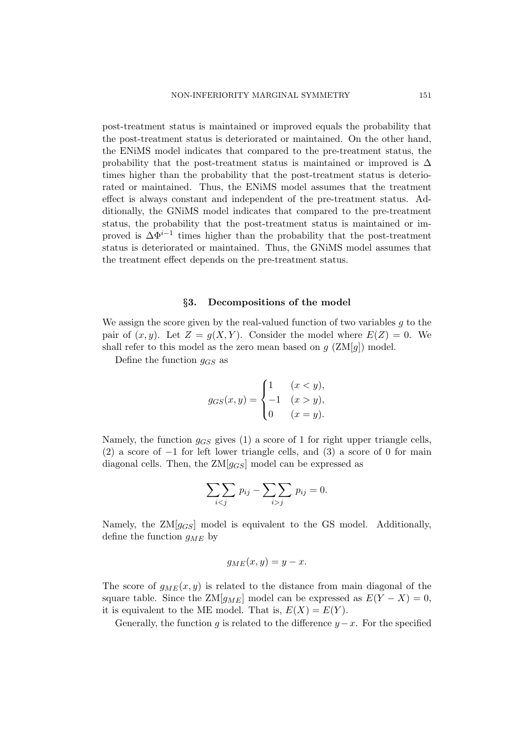post-treatment status is maintained or improved equals the probability that the post-treatment status is deteriorated or maintained. On the other hand, the ENiMS model indicates that compared to the pre-treatment status, the probability that the post-treatment status is maintained or improved is  $\Delta$ times higher than the probability that the post-treatment status is deteriorated or maintained. Thus, the ENiMS model assumes that the treatment effect is always constant and independent of the pre-treatment status. Additionally, the GNiMS model indicates that compared to the pre-treatment status, the probability that the post-treatment status is maintained or improved is  $\Delta \Phi^{i-1}$  times higher than the probability that the post-treatment status is deteriorated or maintained. Thus, the GNiMS model assumes that the treatment effect depends on the pre-treatment status.

#### *§***3. Decompositions of the model**

We assign the score given by the real-valued function of two variables *g* to the pair of  $(x, y)$ . Let  $Z = g(X, Y)$ . Consider the model where  $E(Z) = 0$ . We shall refer to this model as the zero mean based on  $g$  ( $\text{ZM}[g]$ ) model.

Define the function *gGS* as

$$
g_{GS}(x,y) = \begin{cases} 1 & (x < y), \\ -1 & (x > y), \\ 0 & (x = y). \end{cases}
$$

Namely, the function *gGS* gives (1) a score of 1 for right upper triangle cells, (2) a score of *−*1 for left lower triangle cells, and (3) a score of 0 for main diagonal cells. Then, the ZM[*gGS*] model can be expressed as

$$
\sum_{i < j} p_{ij} - \sum_{i > j} p_{ij} = 0.
$$

Namely, the  $ZM[g_{GS}]$  model is equivalent to the GS model. Additionally, define the function *gME* by

$$
g_{ME}(x, y) = y - x.
$$

The score of  $g_{ME}(x, y)$  is related to the distance from main diagonal of the square table. Since the  $ZM[g_{ME}]$  model can be expressed as  $E(Y - X) = 0$ , it is equivalent to the ME model. That is,  $E(X) = E(Y)$ .

Generally, the function *q* is related to the difference  $y - x$ . For the specified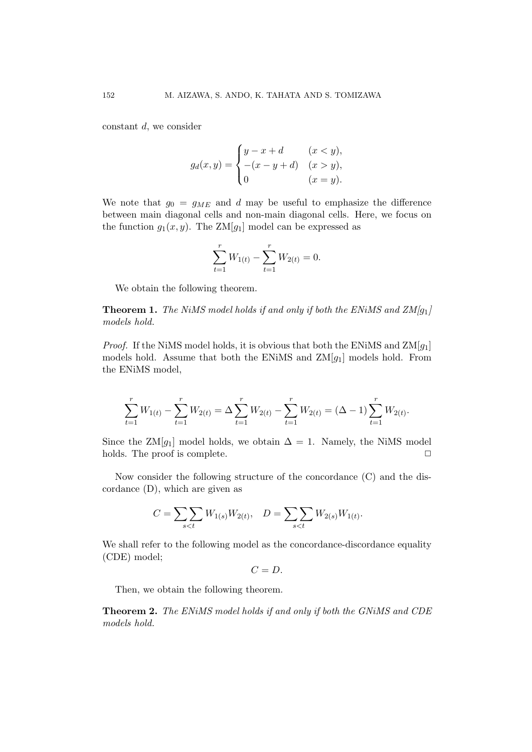constant *d*, we consider

$$
g_d(x,y) = \begin{cases} y - x + d & (x < y), \\ -(x - y + d) & (x > y), \\ 0 & (x = y). \end{cases}
$$

We note that  $g_0 = g_{ME}$  and *d* may be useful to emphasize the difference between main diagonal cells and non-main diagonal cells. Here, we focus on the function  $g_1(x, y)$ . The ZM[ $g_1$ ] model can be expressed as

$$
\sum_{t=1}^{r} W_{1(t)} - \sum_{t=1}^{r} W_{2(t)} = 0.
$$

We obtain the following theorem.

**Theorem 1.** *The NiMS model holds if and only if both the ENiMS and ZM[g*1*] models hold.*

*Proof.* If the NiMS model holds, it is obvious that both the ENiMS and ZM[*g*1] models hold. Assume that both the ENiMS and ZM[*g*1] models hold. From the ENiMS model,

$$
\sum_{t=1}^{r} W_{1(t)} - \sum_{t=1}^{r} W_{2(t)} = \Delta \sum_{t=1}^{r} W_{2(t)} - \sum_{t=1}^{r} W_{2(t)} = (\Delta - 1) \sum_{t=1}^{r} W_{2(t)}.
$$

Since the ZM[ $g_1$ ] model holds, we obtain  $\Delta = 1$ . Namely, the NiMS model holds. The proof is complete.  $\Box$ 

Now consider the following structure of the concordance (C) and the discordance (D), which are given as

$$
C = \sum_{s < t} W_{1(s)} W_{2(t)}, \quad D = \sum_{s < t} W_{2(s)} W_{1(t)}.
$$

We shall refer to the following model as the concordance-discordance equality (CDE) model;

 $C = D$ .

Then, we obtain the following theorem.

**Theorem 2.** *The ENiMS model holds if and only if both the GNiMS and CDE models hold.*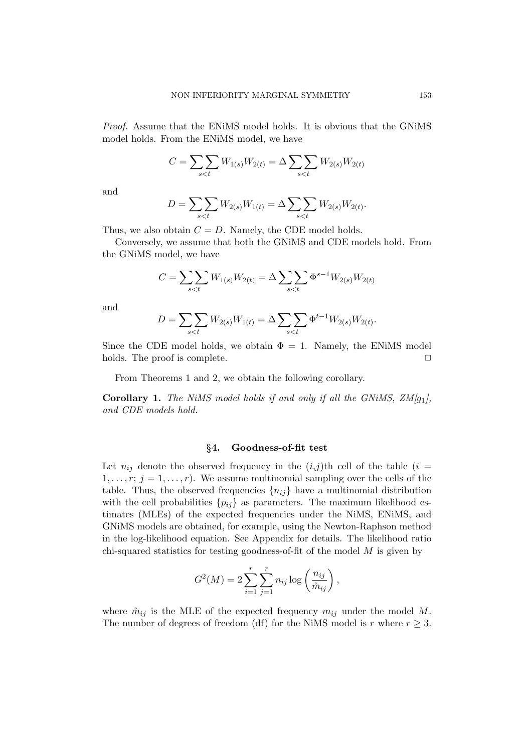*Proof.* Assume that the ENiMS model holds. It is obvious that the GNiMS model holds. From the ENiMS model, we have

$$
C = \sum_{s < t} W_{1(s)} W_{2(t)} = \Delta \sum_{s < t} W_{2(s)} W_{2(t)}
$$

and

$$
D = \sum_{s < t} W_{2(s)} W_{1(t)} = \Delta \sum_{s < t} W_{2(s)} W_{2(t)}.
$$

Thus, we also obtain  $C = D$ . Namely, the CDE model holds.

Conversely, we assume that both the GNiMS and CDE models hold. From the GNiMS model, we have

$$
C = \sum_{s < t} W_{1(s)} W_{2(t)} = \Delta \sum_{s < t} \Phi^{s-1} W_{2(s)} W_{2(t)}
$$

and

$$
D = \sum_{s < t} W_{2(s)} W_{1(t)} = \Delta \sum_{s < t} \Phi^{t-1} W_{2(s)} W_{2(t)}.
$$

Since the CDE model holds, we obtain  $\Phi = 1$ . Namely, the ENiMS model holds. The proof is complete.  $\Box$ 

From Theorems 1 and 2, we obtain the following corollary.

**Corollary 1.** *The NiMS model holds if and only if all the GNiMS, ZM[g*1*], and CDE models hold.*

### *§***4. Goodness-of-fit test**

Let  $n_{ij}$  denote the observed frequency in the  $(i,j)$ <sup>th</sup> cell of the table  $(i =$  $1, \ldots, r; j = 1, \ldots, r$ . We assume multinomial sampling over the cells of the table. Thus, the observed frequencies  $\{n_{ij}\}$  have a multinomial distribution with the cell probabilities  $\{p_{ij}\}\$ as parameters. The maximum likelihood estimates (MLEs) of the expected frequencies under the NiMS, ENiMS, and GNiMS models are obtained, for example, using the Newton-Raphson method in the log-likelihood equation. See Appendix for details. The likelihood ratio chi-squared statistics for testing goodness-of-fit of the model *M* is given by

$$
G^{2}(M) = 2\sum_{i=1}^{r} \sum_{j=1}^{r} n_{ij} \log\left(\frac{n_{ij}}{\hat{m}_{ij}}\right),
$$

where  $\hat{m}_{ij}$  is the MLE of the expected frequency  $m_{ij}$  under the model M. The number of degrees of freedom (df) for the NiMS model is  $r$  where  $r \geq 3$ .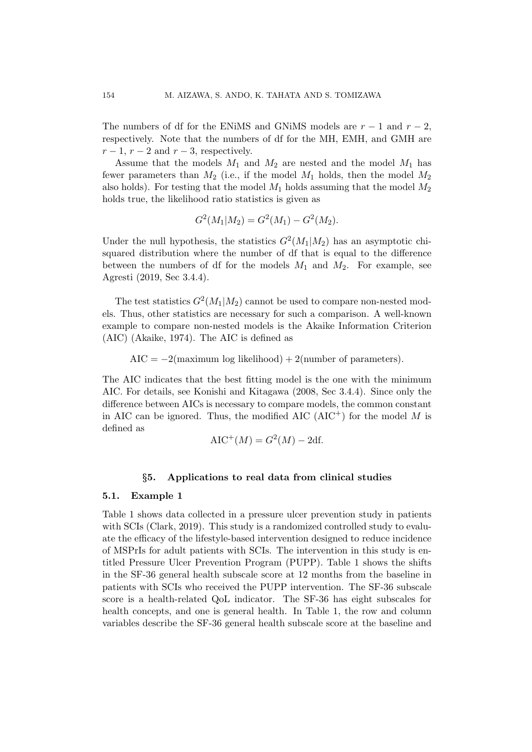The numbers of df for the ENiMS and GNiMS models are  $r - 1$  and  $r - 2$ , respectively. Note that the numbers of df for the MH, EMH, and GMH are  $r-1$ ,  $r-2$  and  $r-3$ , respectively.

Assume that the models  $M_1$  and  $M_2$  are nested and the model  $M_1$  has fewer parameters than  $M_2$  (i.e., if the model  $M_1$  holds, then the model  $M_2$ also holds). For testing that the model  $M_1$  holds assuming that the model  $M_2$ holds true, the likelihood ratio statistics is given as

$$
G^{2}(M_{1}|M_{2}) = G^{2}(M_{1}) - G^{2}(M_{2}).
$$

Under the null hypothesis, the statistics  $G^2(M_1|M_2)$  has an asymptotic chisquared distribution where the number of df that is equal to the difference between the numbers of df for the models  $M_1$  and  $M_2$ . For example, see Agresti (2019, Sec 3.4.4).

The test statistics  $G^2(M_1|M_2)$  cannot be used to compare non-nested models. Thus, other statistics are necessary for such a comparison. A well-known example to compare non-nested models is the Akaike Information Criterion (AIC) (Akaike, 1974). The AIC is defined as

AIC = *−*2(maximum log likelihood) + 2(number of parameters)*.*

The AIC indicates that the best fitting model is the one with the minimum AIC. For details, see Konishi and Kitagawa (2008, Sec 3.4.4). Since only the difference between AICs is necessary to compare models, the common constant in AIC can be ignored. Thus, the modified AIC  $(AIC^+)$  for the model M is defined as

$$
AIC^{+}(M) = G^{2}(M) - 2df.
$$

## *§***5. Applications to real data from clinical studies**

#### **5.1. Example 1**

Table 1 shows data collected in a pressure ulcer prevention study in patients with SCIs (Clark, 2019). This study is a randomized controlled study to evaluate the efficacy of the lifestyle-based intervention designed to reduce incidence of MSPrIs for adult patients with SCIs. The intervention in this study is entitled Pressure Ulcer Prevention Program (PUPP). Table 1 shows the shifts in the SF-36 general health subscale score at 12 months from the baseline in patients with SCIs who received the PUPP intervention. The SF-36 subscale score is a health-related QoL indicator. The SF-36 has eight subscales for health concepts, and one is general health. In Table 1, the row and column variables describe the SF-36 general health subscale score at the baseline and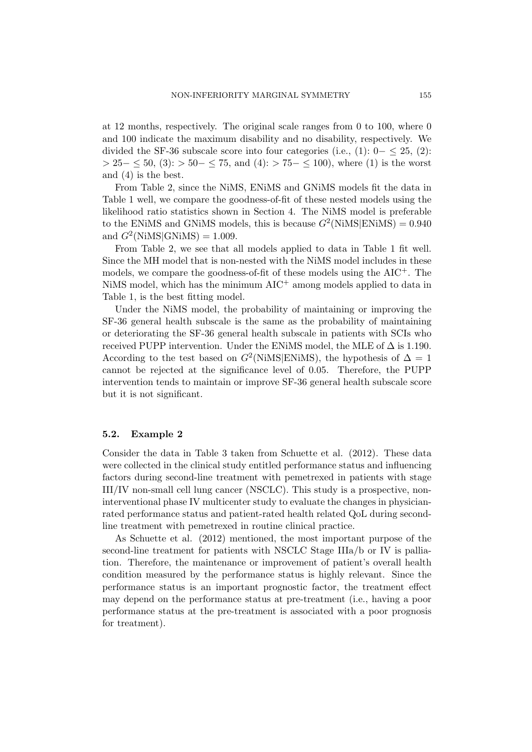at 12 months, respectively. The original scale ranges from 0 to 100, where 0 and 100 indicate the maximum disability and no disability, respectively. We divided the SF-36 subscale score into four categories (i.e.,  $(1): 0 - \leq 25$ ,  $(2):$ *>* 25*− ≤* 50, (3): *>* 50*− ≤* 75, and (4): *>* 75*− ≤* 100), where (1) is the worst and (4) is the best.

From Table 2, since the NiMS, ENiMS and GNiMS models fit the data in Table 1 well, we compare the goodness-of-fit of these nested models using the likelihood ratio statistics shown in Section 4. The NiMS model is preferable to the ENiMS and GNiMS models, this is because  $G^2(NiMS|ENiMS) = 0.940$ and  $G^2(NiMS|GNiMS) = 1.009$ .

From Table 2, we see that all models applied to data in Table 1 fit well. Since the MH model that is non-nested with the NiMS model includes in these models, we compare the goodness-of-fit of these models using the  $AIC^+$ . The NiMS model, which has the minimum AIC<sup>+</sup> among models applied to data in Table 1, is the best fitting model.

Under the NiMS model, the probability of maintaining or improving the SF-36 general health subscale is the same as the probability of maintaining or deteriorating the SF-36 general health subscale in patients with SCIs who received PUPP intervention. Under the ENiMS model, the MLE of  $\Delta$  is 1.190. According to the test based on  $G^2(N\text{inMS}|\text{ENMS})$ , the hypothesis of  $\Delta = 1$ cannot be rejected at the significance level of 0.05. Therefore, the PUPP intervention tends to maintain or improve SF-36 general health subscale score but it is not significant.

# **5.2. Example 2**

Consider the data in Table 3 taken from Schuette et al. (2012). These data were collected in the clinical study entitled performance status and influencing factors during second-line treatment with pemetrexed in patients with stage III/IV non-small cell lung cancer (NSCLC). This study is a prospective, noninterventional phase IV multicenter study to evaluate the changes in physicianrated performance status and patient-rated health related QoL during secondline treatment with pemetrexed in routine clinical practice.

As Schuette et al. (2012) mentioned, the most important purpose of the second-line treatment for patients with NSCLC Stage IIIa/b or IV is palliation. Therefore, the maintenance or improvement of patient's overall health condition measured by the performance status is highly relevant. Since the performance status is an important prognostic factor, the treatment effect may depend on the performance status at pre-treatment (i.e., having a poor performance status at the pre-treatment is associated with a poor prognosis for treatment).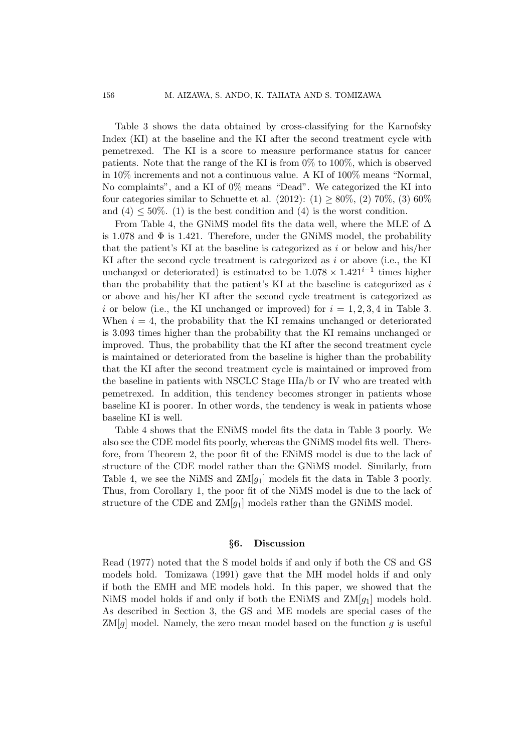Table 3 shows the data obtained by cross-classifying for the Karnofsky Index (KI) at the baseline and the KI after the second treatment cycle with pemetrexed. The KI is a score to measure performance status for cancer patients. Note that the range of the KI is from 0% to 100%, which is observed in 10% increments and not a continuous value. A KI of 100% means "Normal, No complaints", and a KI of 0% means "Dead". We categorized the KI into four categories similar to Schuette et al.  $(2012)$ :  $(1) \ge 80\%$ ,  $(2) 70\%$ ,  $(3) 60\%$ and  $(4)$   $\leq$  50%. (1) is the best condition and  $(4)$  is the worst condition.

From Table 4, the GNiMS model fits the data well, where the MLE of  $\Delta$ is 1.078 and  $\Phi$  is 1.421. Therefore, under the GNiMS model, the probability that the patient's KI at the baseline is categorized as *i* or below and his/her KI after the second cycle treatment is categorized as *i* or above (i.e., the KI unchanged or deteriorated) is estimated to be  $1.078 \times 1.421^{i-1}$  times higher than the probability that the patient's KI at the baseline is categorized as *i* or above and his/her KI after the second cycle treatment is categorized as *i* or below (i.e., the KI unchanged or improved) for  $i = 1, 2, 3, 4$  in Table 3. When  $i = 4$ , the probability that the KI remains unchanged or deteriorated is 3*.*093 times higher than the probability that the KI remains unchanged or improved. Thus, the probability that the KI after the second treatment cycle is maintained or deteriorated from the baseline is higher than the probability that the KI after the second treatment cycle is maintained or improved from the baseline in patients with NSCLC Stage IIIa/b or IV who are treated with pemetrexed. In addition, this tendency becomes stronger in patients whose baseline KI is poorer. In other words, the tendency is weak in patients whose baseline KI is well.

Table 4 shows that the ENiMS model fits the data in Table 3 poorly. We also see the CDE model fits poorly, whereas the GNiMS model fits well. Therefore, from Theorem 2, the poor fit of the ENiMS model is due to the lack of structure of the CDE model rather than the GNiMS model. Similarly, from Table 4, we see the NiMS and  $ZM[g_1]$  models fit the data in Table 3 poorly. Thus, from Corollary 1, the poor fit of the NiMS model is due to the lack of structure of the CDE and  $ZM[g_1]$  models rather than the GNiMS model.

## *§***6. Discussion**

Read (1977) noted that the S model holds if and only if both the CS and GS models hold. Tomizawa (1991) gave that the MH model holds if and only if both the EMH and ME models hold. In this paper, we showed that the NiMS model holds if and only if both the ENiMS and ZM[*g*1] models hold. As described in Section 3, the GS and ME models are special cases of the ZM[*g*] model. Namely, the zero mean model based on the function *g* is useful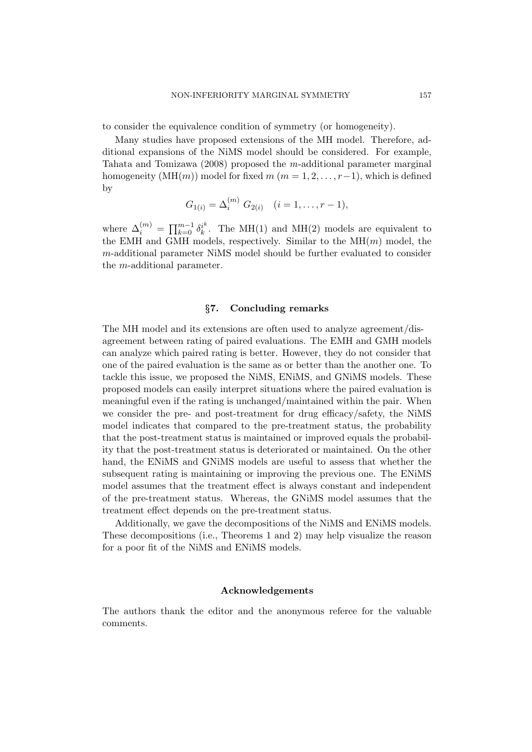to consider the equivalence condition of symmetry (or homogeneity).

Many studies have proposed extensions of the MH model. Therefore, additional expansions of the NiMS model should be considered. For example, Tahata and Tomizawa (2008) proposed the *m*-additional parameter marginal homogeneity  $(MH(m))$  model for fixed  $m (m = 1, 2, \ldots, r-1)$ , which is defined by

$$
G_{1(i)} = \Delta_i^{(m)} G_{2(i)} \quad (i = 1, \dots, r - 1),
$$

where  $\Delta_i^{(m)} = \prod_{k=0}^{m-1} \delta_k^{i^k}$  $k^*$ . The MH(1) and MH(2) models are equivalent to the EMH and GMH models, respectively. Similar to the MH(*m*) model, the *m*-additional parameter NiMS model should be further evaluated to consider the *m*-additional parameter.

## *§***7. Concluding remarks**

The MH model and its extensions are often used to analyze agreement/disagreement between rating of paired evaluations. The EMH and GMH models can analyze which paired rating is better. However, they do not consider that one of the paired evaluation is the same as or better than the another one. To tackle this issue, we proposed the NiMS, ENiMS, and GNiMS models. These proposed models can easily interpret situations where the paired evaluation is meaningful even if the rating is unchanged/maintained within the pair. When we consider the pre- and post-treatment for drug efficacy/safety, the NiMS model indicates that compared to the pre-treatment status, the probability that the post-treatment status is maintained or improved equals the probability that the post-treatment status is deteriorated or maintained. On the other hand, the ENiMS and GNiMS models are useful to assess that whether the subsequent rating is maintaining or improving the previous one. The ENiMS model assumes that the treatment effect is always constant and independent of the pre-treatment status. Whereas, the GNiMS model assumes that the treatment effect depends on the pre-treatment status.

Additionally, we gave the decompositions of the NiMS and ENiMS models. These decompositions (i.e., Theorems 1 and 2) may help visualize the reason for a poor fit of the NiMS and ENiMS models.

### **Acknowledgements**

The authors thank the editor and the anonymous referee for the valuable comments.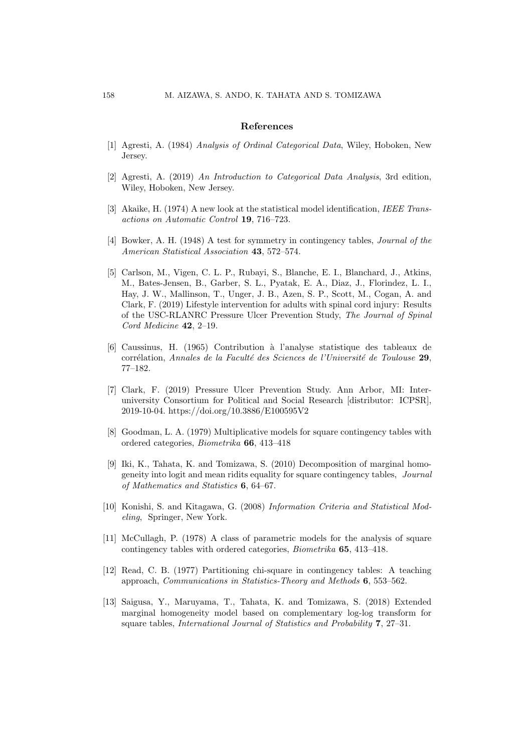#### **References**

- [1] Agresti, A. (1984) *Analysis of Ordinal Categorical Data*, Wiley, Hoboken, New Jersey.
- [2] Agresti, A. (2019) *An Introduction to Categorical Data Analysis*, 3rd edition, Wiley, Hoboken, New Jersey.
- [3] Akaike, H. (1974) A new look at the statistical model identification, *IEEE Transactions on Automatic Control* **19**, 716–723.
- [4] Bowker, A. H. (1948) A test for symmetry in contingency tables, *Journal of the American Statistical Association* **43**, 572–574.
- [5] Carlson, M., Vigen, C. L. P., Rubayi, S., Blanche, E. I., Blanchard, J., Atkins, M., Bates-Jensen, B., Garber, S. L., Pyatak, E. A., Diaz, J., Florindez, L. I., Hay, J. W., Mallinson, T., Unger, J. B., Azen, S. P., Scott, M., Cogan, A. and Clark, F. (2019) Lifestyle intervention for adults with spinal cord injury: Results of the USC-RLANRC Pressure Ulcer Prevention Study, *The Journal of Spinal Cord Medicine* **42**, 2–19.
- [6] Caussinus, H. (1965) Contribution `a l'analyse statistique des tableaux de corr´elation, *Annales de la Facult´e des Sciences de l'Universit´e de Toulouse* **29**, 77–182.
- [7] Clark, F. (2019) Pressure Ulcer Prevention Study. Ann Arbor, MI: Interuniversity Consortium for Political and Social Research [distributor: ICPSR], 2019-10-04. https://doi.org/10.3886/E100595V2
- [8] Goodman, L. A. (1979) Multiplicative models for square contingency tables with ordered categories, *Biometrika* **66**, 413–418
- [9] Iki, K., Tahata, K. and Tomizawa, S. (2010) Decomposition of marginal homogeneity into logit and mean ridits equality for square contingency tables, *Journal of Mathematics and Statistics* **6**, 64–67.
- [10] Konishi, S. and Kitagawa, G. (2008) *Information Criteria and Statistical Modeling*, Springer, New York.
- [11] McCullagh, P. (1978) A class of parametric models for the analysis of square contingency tables with ordered categories, *Biometrika* **65**, 413–418.
- [12] Read, C. B. (1977) Partitioning chi-square in contingency tables: A teaching approach, *Communications in Statistics-Theory and Methods* **6**, 553–562.
- [13] Saigusa, Y., Maruyama, T., Tahata, K. and Tomizawa, S. (2018) Extended marginal homogeneity model based on complementary log-log transform for square tables, *International Journal of Statistics and Probability* **7**, 27–31.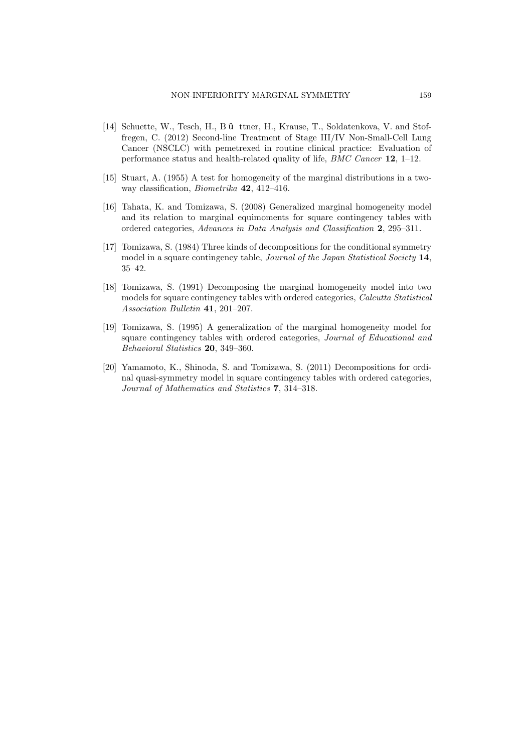- [14] Schuette, W., Tesch, H., B ü ttner, H., Krause, T., Soldatenkova, V. and Stoffregen, C. (2012) Second-line Treatment of Stage III/IV Non-Small-Cell Lung Cancer (NSCLC) with pemetrexed in routine clinical practice: Evaluation of performance status and health-related quality of life, *BMC Cancer* **12**, 1–12.
- [15] Stuart, A. (1955) A test for homogeneity of the marginal distributions in a twoway classification, *Biometrika* **42**, 412–416.
- [16] Tahata, K. and Tomizawa, S. (2008) Generalized marginal homogeneity model and its relation to marginal equimoments for square contingency tables with ordered categories, *Advances in Data Analysis and Classification* **2**, 295–311.
- [17] Tomizawa, S. (1984) Three kinds of decompositions for the conditional symmetry model in a square contingency table, *Journal of the Japan Statistical Society* **14**, 35–42.
- [18] Tomizawa, S. (1991) Decomposing the marginal homogeneity model into two models for square contingency tables with ordered categories, *Calcutta Statistical Association Bulletin* **41**, 201–207.
- [19] Tomizawa, S. (1995) A generalization of the marginal homogeneity model for square contingency tables with ordered categories, *Journal of Educational and Behavioral Statistics* **20**, 349–360.
- [20] Yamamoto, K., Shinoda, S. and Tomizawa, S. (2011) Decompositions for ordinal quasi-symmetry model in square contingency tables with ordered categories, *Journal of Mathematics and Statistics* **7**, 314–318.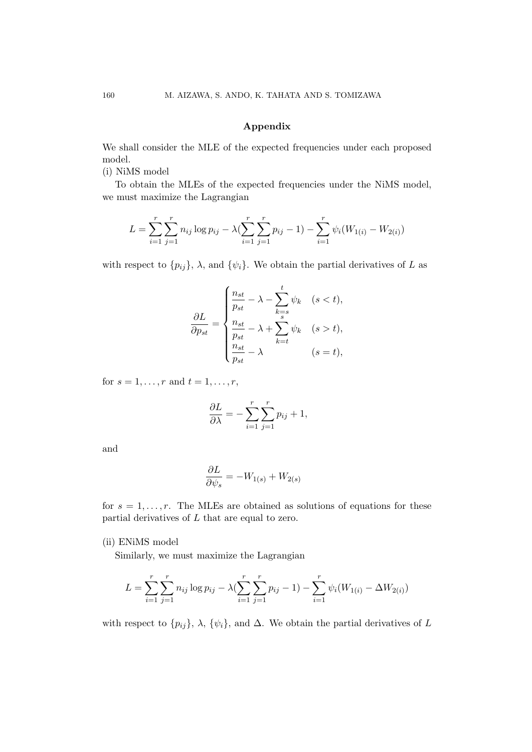# **Appendix**

We shall consider the MLE of the expected frequencies under each proposed model.

(i) NiMS model

To obtain the MLEs of the expected frequencies under the NiMS model, we must maximize the Lagrangian

$$
L = \sum_{i=1}^{r} \sum_{j=1}^{r} n_{ij} \log p_{ij} - \lambda (\sum_{i=1}^{r} \sum_{j=1}^{r} p_{ij} - 1) - \sum_{i=1}^{r} \psi_i (W_{1(i)} - W_{2(i)})
$$

with respect to  $\{p_{ij}\}$ ,  $\lambda$ , and  $\{\psi_i\}$ . We obtain the partial derivatives of *L* as

$$
\frac{\partial L}{\partial p_{st}} = \begin{cases} \frac{n_{st}}{p_{st}} - \lambda - \sum_{k=s}^{t} \psi_k & (s < t), \\ \frac{n_{st}}{p_{st}} - \lambda + \sum_{k=t}^{s} \psi_k & (s > t), \\ \frac{n_{st}}{p_{st}} - \lambda & (s = t), \end{cases}
$$

for  $s = 1, ..., r$  and  $t = 1, ..., r$ ,

$$
\frac{\partial L}{\partial \lambda} = -\sum_{i=1}^{r} \sum_{j=1}^{r} p_{ij} + 1,
$$

and

$$
\frac{\partial L}{\partial \psi_s} = -W_{1(s)} + W_{2(s)}
$$

for  $s = 1, \ldots, r$ . The MLEs are obtained as solutions of equations for these partial derivatives of *L* that are equal to zero.

(ii) ENiMS model

Similarly, we must maximize the Lagrangian

$$
L = \sum_{i=1}^{r} \sum_{j=1}^{r} n_{ij} \log p_{ij} - \lambda (\sum_{i=1}^{r} \sum_{j=1}^{r} p_{ij} - 1) - \sum_{i=1}^{r} \psi_i (W_{1(i)} - \Delta W_{2(i)})
$$

with respect to  $\{p_{ij}\}, \lambda, \{\psi_i\}, \text{ and } \Delta$ . We obtain the partial derivatives of *L*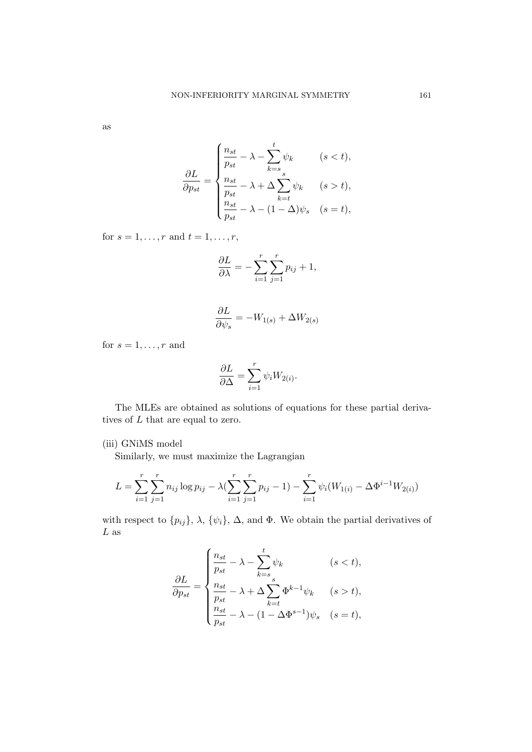as

$$
\frac{\partial L}{\partial p_{st}} = \begin{cases} \frac{n_{st}}{p_{st}} - \lambda - \sum_{k=s}^{t} \psi_k & (s < t), \\ \frac{n_{st}}{p_{st}} - \lambda + \Delta \sum_{k=t}^{s} \psi_k & (s > t), \\ \frac{n_{st}}{p_{st}} - \lambda - (1 - \Delta)\psi_s & (s = t), \end{cases}
$$

for  $s = 1, ..., r$  and  $t = 1, ..., r$ ,

$$
\frac{\partial L}{\partial \lambda} = -\sum_{i=1}^{r} \sum_{j=1}^{r} p_{ij} + 1,
$$

$$
\frac{\partial L}{\partial \psi_s} = -W_{1(s)} + \Delta W_{2(s)}
$$

for  $s = 1, \ldots, r$  and

$$
\frac{\partial L}{\partial \Delta} = \sum_{i=1}^r \psi_i W_{2(i)}.
$$

The MLEs are obtained as solutions of equations for these partial derivatives of *L* that are equal to zero.

## (iii) GNiMS model

Similarly, we must maximize the Lagrangian

$$
L = \sum_{i=1}^{r} \sum_{j=1}^{r} n_{ij} \log p_{ij} - \lambda (\sum_{i=1}^{r} \sum_{j=1}^{r} p_{ij} - 1) - \sum_{i=1}^{r} \psi_i (W_{1(i)} - \Delta \Phi^{i-1} W_{2(i)})
$$

with respect to  $\{p_{ij}\}, \lambda, \{\psi_i\}, \Delta, \text{ and } \Phi$ . We obtain the partial derivatives of *L* as

$$
\frac{\partial L}{\partial p_{st}} = \begin{cases} \frac{n_{st}}{p_{st}} - \lambda - \sum_{k=s}^{t} \psi_k & (s < t), \\ \frac{n_{st}}{p_{st}} - \lambda + \Delta \sum_{k=t}^{s} \Phi^{k-1} \psi_k & (s > t), \\ \frac{n_{st}}{p_{st}} - \lambda - (1 - \Delta \Phi^{s-1}) \psi_s & (s = t), \end{cases}
$$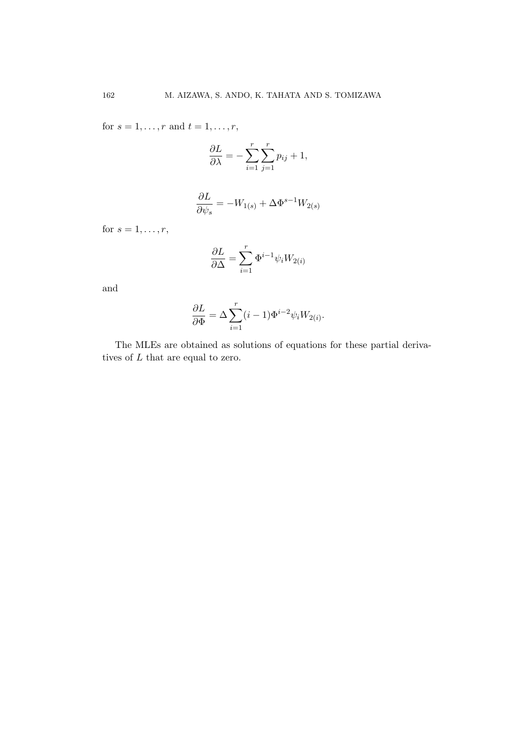for  $s = 1, ..., r$  and  $t = 1, ..., r$ ,

$$
\frac{\partial L}{\partial \lambda} = -\sum_{i=1}^{r} \sum_{j=1}^{r} p_{ij} + 1,
$$

$$
\frac{\partial L}{\partial \psi_s} = -W_{1(s)} + \Delta \Phi^{s-1} W_{2(s)}
$$

for  $s = 1, ..., r$ ,

$$
\frac{\partial L}{\partial \Delta} = \sum_{i=1}^{r} \Phi^{i-1} \psi_i W_{2(i)}
$$

and

$$
\frac{\partial L}{\partial \Phi} = \Delta \sum_{i=1}^{r} (i-1) \Phi^{i-2} \psi_i W_{2(i)}.
$$

The MLEs are obtained as solutions of equations for these partial derivatives of *L* that are equal to zero.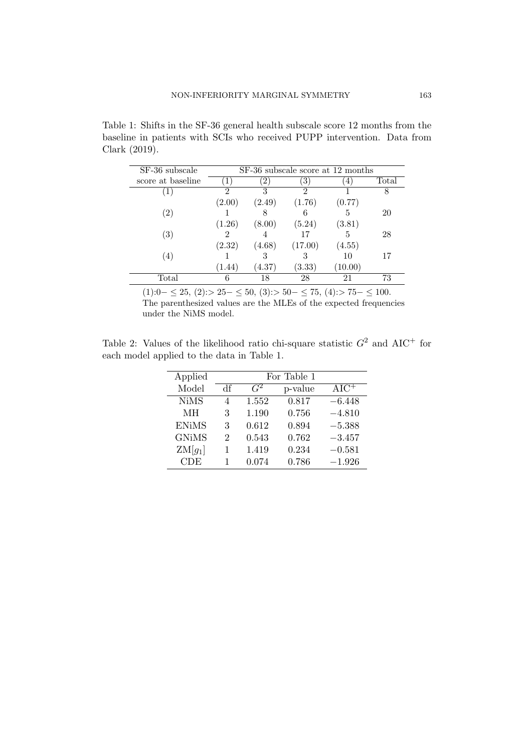Table 1: Shifts in the SF-36 general health subscale score 12 months from the baseline in patients with SCIs who received PUPP intervention. Data from Clark (2019).

| SF-36 subscale    | SF-36 subscale score at 12 months |               |         |        |       |
|-------------------|-----------------------------------|---------------|---------|--------|-------|
| score at baseline |                                   | $\mathcal{L}$ | 3)      | 4      | Total |
|                   | 9                                 | 3             | 2       |        |       |
|                   | (2.00)                            | (2.49)        | (1.76)  | (0.77) |       |
| $\left( 2\right)$ |                                   |               |         |        | 20    |
|                   | (1.26)                            | (8.00)        | (5.24)  | (3.81) |       |
| $\left( 3\right)$ |                                   |               | 17      |        | 28    |
|                   | (2.32)                            | (4.68)        | (17.00) | (4.55) |       |
| (4)               |                                   | 3             |         | 10     | 17    |
|                   | (1.44)                            | (4.37)        | (3.33)  | 10.00) |       |
| Total             | 6                                 | 18            | 28      | 21     | 73    |

(1):0*− ≤* 25, (2):*>* 25*− ≤* 50, (3):*>* 50*− ≤* 75, (4):*>* 75*− ≤* 100. The parenthesized values are the MLEs of the expected frequencies under the NiMS model.

Table 2: Values of the likelihood ratio chi-square statistic  $G^2$  and  $AIC^+$  for each model applied to the data in Table 1.

| Applied      | For Table 1 |       |         |                      |  |
|--------------|-------------|-------|---------|----------------------|--|
| Model        | Чŧ          | $G^2$ | p-value | $AI\overline{C^{+}}$ |  |
| <b>NiMS</b>  | 4           | 1.552 | 0.817   | $-6.448$             |  |
| MН           | 3           | 1.190 | 0.756   | $-4.810$             |  |
| <b>ENiMS</b> | 3           | 0.612 | 0.894   | $-5.388$             |  |
| <b>GNiMS</b> | 2           | 0.543 | 0.762   | $-3.457$             |  |
| $ZM[g_1]$    | 1           | 1.419 | 0.234   | $-0.581$             |  |
| <b>CDE</b>   | 1           | 0.074 | 0.786   | $-1.926$             |  |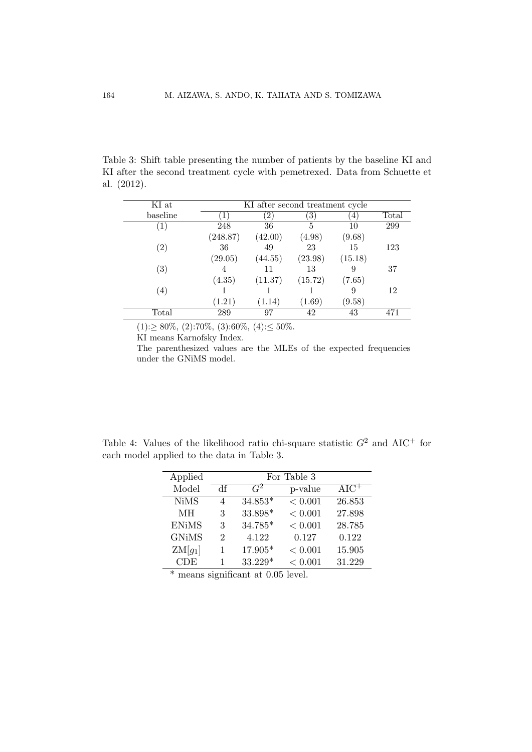Table 3: Shift table presenting the number of patients by the baseline KI and KI after the second treatment cycle with pemetrexed. Data from Schuette et al. (2012).

| KI at             | KI after second treatment cycle |               |         |         |       |
|-------------------|---------------------------------|---------------|---------|---------|-------|
| baseline          |                                 | $^{\prime}2)$ | ΄3΄     | 4       | Total |
| $\left(1\right)$  | 248                             | 36            | 5       | 10      | 299   |
|                   | (248.87)                        | (42.00)       | (4.98)  | (9.68)  |       |
| $\left( 2\right)$ | 36                              | 49            | 23      | 15      | 123   |
|                   | (29.05)                         | (44.55)       | (23.98) | (15.18) |       |
| $\left( 3\right)$ |                                 | 11            | 13      | 9       | 37    |
|                   | (4.35)                          | (11.37)       | (15.72) | (7.65)  |       |
| $\left( 4\right)$ |                                 |               |         | 9       | 12    |
|                   | (1.21)                          | (1.14)        | (1.69)  | (9.58)  |       |
| Total             | 289                             | 97            | 42      | 43      | 471   |
|                   |                                 |               |         |         |       |

(1):*≥* 80%, (2):70%, (3):60%, (4):*≤* 50%.

KI means Karnofsky Index.

The parenthesized values are the MLEs of the expected frequencies under the GNiMS model.

Table 4: Values of the likelihood ratio chi-square statistic  $G^2$  and  $AIC^+$  for each model applied to the data in Table 3.

| Applied      | For Table 3                 |           |         |                    |
|--------------|-----------------------------|-----------|---------|--------------------|
| Model        | df                          | $G^2$     | p-value | $AI\overline{C^+}$ |
| <b>NiMS</b>  | 4                           | $34.853*$ | < 0.001 | 26.853             |
| MН           | 3                           | 33.898*   | < 0.001 | 27.898             |
| <b>ENiMS</b> | 3                           | 34.785*   | < 0.001 | 28.785             |
| <b>GNiMS</b> | $\mathcal{D}_{\mathcal{L}}$ | 4.122     | 0.127   | 0.122              |
| $ZM[g_1]$    | 1                           | 17.905*   | < 0.001 | 15.905             |
| CDE          |                             | 33.229*   | < 0.001 | 31.229             |

\* means significant at 0.05 level.